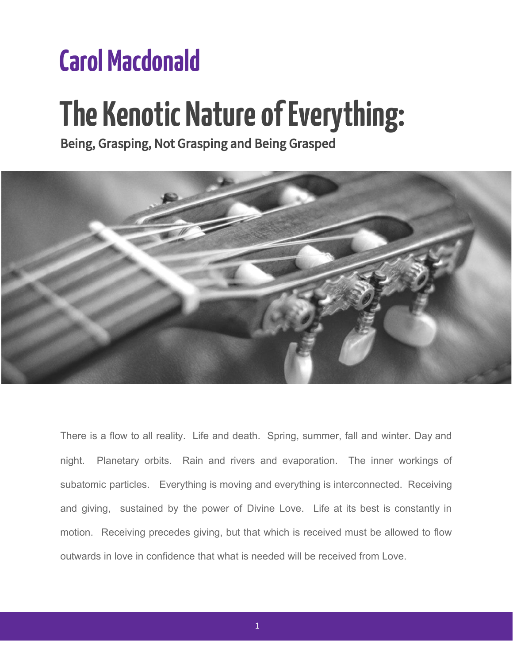## **Carol Macdonald**

# **The Kenotic Nature of Everything:**

Being, Grasping, Not Grasping and Being Grasped



There is a flow to all reality. Life and death. Spring, summer, fall and winter. Day and night. Planetary orbits. Rain and rivers and evaporation. The inner workings of subatomic particles. Everything is moving and everything is interconnected. Receiving and giving, sustained by the power of Divine Love. Life at its best is constantly in motion. Receiving precedes giving, but that which is received must be allowed to flow outwards in love in confidence that what is needed will be received from Love.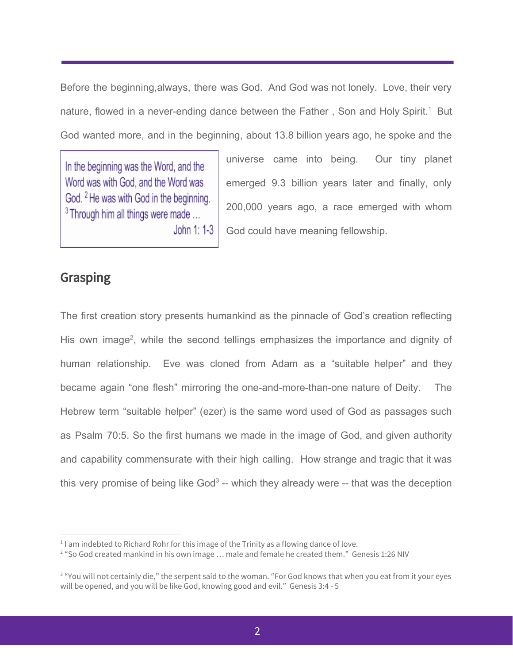Before the beginning,always, there was God. And God was not lonely. Love, their very nature, flowed in a never-ending dance between the Father, Son and Holy Spirit.<sup>1</sup> But God wanted more, and in the beginning, about 13.8 billion years ago, he spoke and the

In the beginning was the Word, and the Word was with God, and the Word was God. <sup>2</sup> He was with God in the beginning.  $3$  Through him all things were made ... John 1: 1-3 universe came into being. Our tiny planet emerged 9.3 billion years later and finally, only 200,000 years ago, a race emerged with whom God could have meaning fellowship.

### Grasping

The first creation story presents humankind as the pinnacle of God's creation reflecting His own image<sup>2</sup>, while the second tellings emphasizes the importance and dignity of human relationship. Eve was cloned from Adam as a "suitable helper" and they became again "one flesh" mirroring the one-and-more-than-one nature of Deity. The Hebrew term "suitable helper" (ezer) is the same word used of God as passages such as Psalm 70:5. So the first humans we made in the image of God, and given authority and capability commensurate with their high calling. How strange and tragic that it was this very promise of being like God<sup>3</sup> -- which they already were  $-$  that was the deception

 $11$  am indebted to Richard Rohr for this image of the Trinity as a flowing dance of love.

<sup>&</sup>lt;sup>2</sup> "So God created mankind in his own image ... male and female he created them." Genesis 1:26 NIV

<sup>&</sup>lt;sup>3</sup> "You will not certainly die," the serpent said to the woman. "For God knows that when you eat from it your eyes will be opened, and you will be like God, knowing good and evil." Genesis 3:4 - 5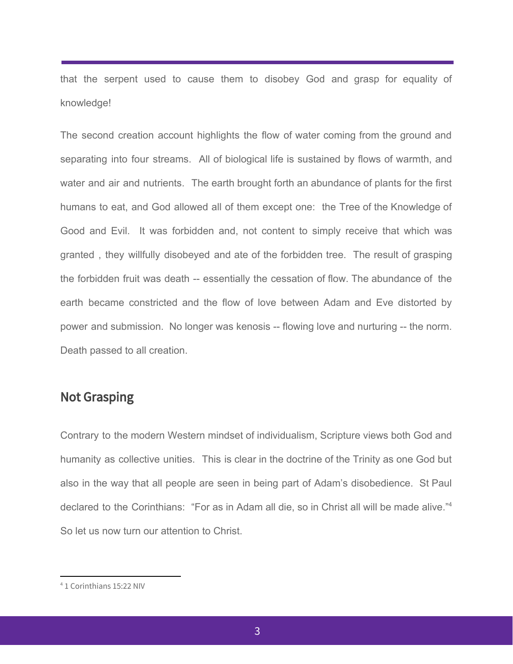that the serpent used to cause them to disobey God and grasp for equality of knowledge!

The second creation account highlights the flow of water coming from the ground and separating into four streams. All of biological life is sustained by flows of warmth, and water and air and nutrients. The earth brought forth an abundance of plants for the first humans to eat, and God allowed all of them except one: the Tree of the Knowledge of Good and Evil. It was forbidden and, not content to simply receive that which was granted , they willfully disobeyed and ate of the forbidden tree. The result of grasping the forbidden fruit was death -- essentially the cessation of flow. The abundance of the earth became constricted and the flow of love between Adam and Eve distorted by power and submission. No longer was kenosis -- flowing love and nurturing -- the norm. Death passed to all creation.

#### Not Grasping

Contrary to the modern Western mindset of individualism, Scripture views both God and humanity as collective unities. This is clear in the doctrine of the Trinity as one God but also in the way that all people are seen in being part of Adam's disobedience. St Paul declared to the Corinthians: "For as in Adam all die, so in Christ all will be made alive."<sup>4</sup> So let us now turn our attention to Christ.

<sup>4</sup> 1 Corinthians 15:22 NIV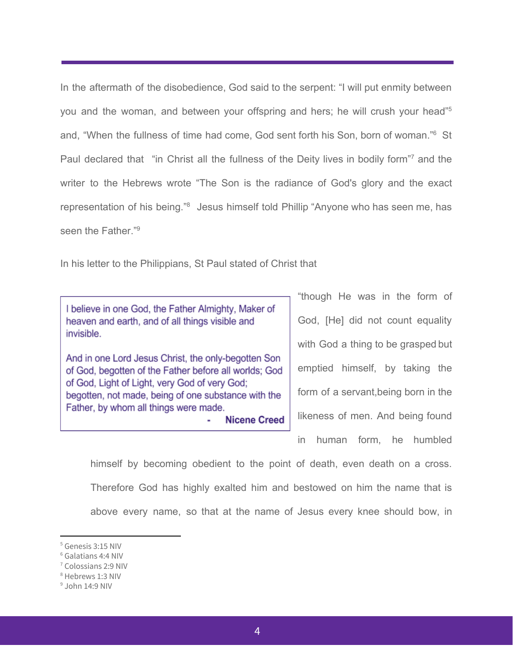In the aftermath of the disobedience, God said to the serpent: "I will put enmity between you and the woman, and between your offspring and hers; he will crush your head"<sup>5</sup> and, "When the fullness of time had come, God sent forth his Son, born of woman."<sup>6</sup> St Paul declared that "in Christ all the fullness of the Deity lives in bodily form"<sup>7</sup> and the writer to the Hebrews wrote "The Son is the radiance of God's glory and the exact representation of his being."<sup>8</sup> Jesus himself told Phillip "Anyone who has seen me, has seen the Father."<sup>9</sup>

In his letter to the Philippians, St Paul stated of Christ that

I believe in one God, the Father Almighty, Maker of heaven and earth, and of all things visible and invisible.

And in one Lord Jesus Christ, the only-begotten Son of God, begotten of the Father before all worlds; God of God, Light of Light, very God of very God; begotten, not made, being of one substance with the Father, by whom all things were made.

**Nicene Creed** 

"though He was in the form of God, [He] did not count equality with God a thing to be grasped but emptied himself, by taking the form of a servant,being born in the likeness of men. And being found in human form, he humbled

himself by becoming obedient to the point of death, even death on a cross. Therefore God has highly exalted him and bestowed on him the name that is above every name, so that at the name of Jesus every knee should bow, in

<sup>5</sup> Genesis 3:15 NIV

<sup>6</sup> Galatians 4:4 NIV

<sup>7</sup> Colossians 2:9 NIV

<sup>8</sup> Hebrews 1:3 NIV

<sup>9</sup> John 14:9 NIV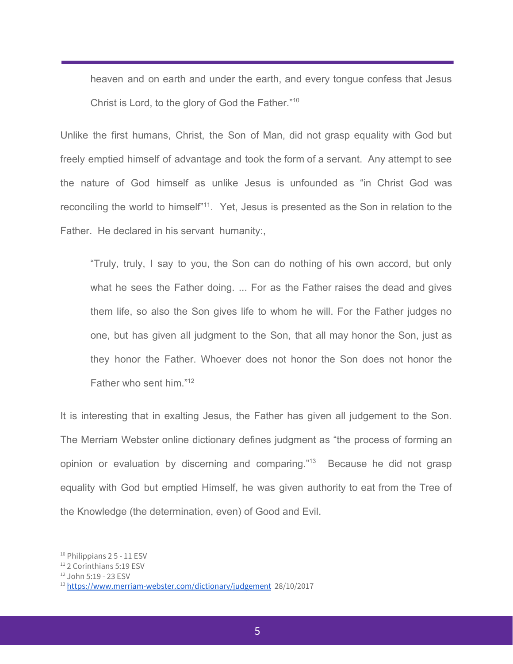heaven and on earth and under the earth, and every tongue confess that Jesus Christ is Lord, to the glory of God the Father."<sup>10</sup>

Unlike the first humans, Christ, the Son of Man, did not grasp equality with God but freely emptied himself of advantage and took the form of a servant. Any attempt to see the nature of God himself as unlike Jesus is unfounded as "in Christ God was reconciling the world to himself<sup>"11</sup>. Yet, Jesus is presented as the Son in relation to the Father. He declared in his servant humanity:,

"Truly, truly, I say to you, the Son can do nothing of his own accord, but only what he sees the Father doing. ... For as the Father raises the dead and gives them life, so also the Son gives life to whom he will. For the Father judges no one, but has given all judgment to the Son, that all may honor the Son, just as they honor the Father. Whoever does not honor the Son does not honor the Father who sent him."<sup>12</sup>

It is interesting that in exalting Jesus, the Father has given all judgement to the Son. The Merriam Webster online dictionary defines judgment as "the process of forming an opinion or evaluation by [discerning](https://www.merriam-webster.com/dictionary/discern) and comparing. $13$  Because he did not grasp equality with God but emptied Himself, he was given authority to eat from the Tree of the Knowledge (the determination, even) of Good and Evil.

 $10$  Philippians 25 - 11 ESV

<sup>&</sup>lt;sup>11</sup> 2 Corinthians 5:19 ESV

<sup>12</sup> John 5:19 - 23 ESV

<sup>13</sup> <https://www.merriam-webster.com/dictionary/judgement> 28/10/2017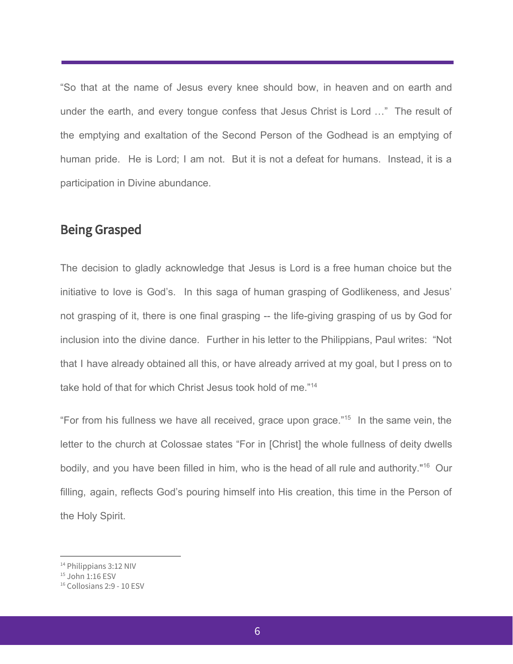"So that at the name of Jesus every knee should bow, in heaven and on earth and under the earth, and every tongue confess that Jesus Christ is Lord …" The result of the emptying and exaltation of the Second Person of the Godhead is an emptying of human pride. He is Lord; I am not. But it is not a defeat for humans. Instead, it is a participation in Divine abundance.

#### Being Grasped

The decision to gladly acknowledge that Jesus is Lord is a free human choice but the initiative to love is God's. In this saga of human grasping of Godlikeness, and Jesus' not grasping of it, there is one final grasping -- the life-giving grasping of us by God for inclusion into the divine dance. Further in his letter to the Philippians, Paul writes: "Not that I have already obtained all this, or have already arrived at my goal, but I press on to take hold of that for which Christ Jesus took hold of me."<sup>14</sup>

"For from his fullness we have all received, grace upon grace."<sup>15</sup> In the same vein, the letter to the church at Colossae states "For in [Christ] the whole fullness of deity dwells bodily, and you have been filled in him, who is the head of all rule and authority."<sup>16</sup> Our filling, again, reflects God's pouring himself into His creation, this time in the Person of the Holy Spirit.

<sup>&</sup>lt;sup>14</sup> Philippians 3:12 NIV

<sup>&</sup>lt;sup>15</sup> John 1:16 ESV

<sup>16</sup> Collosians 2:9 - 10 ESV